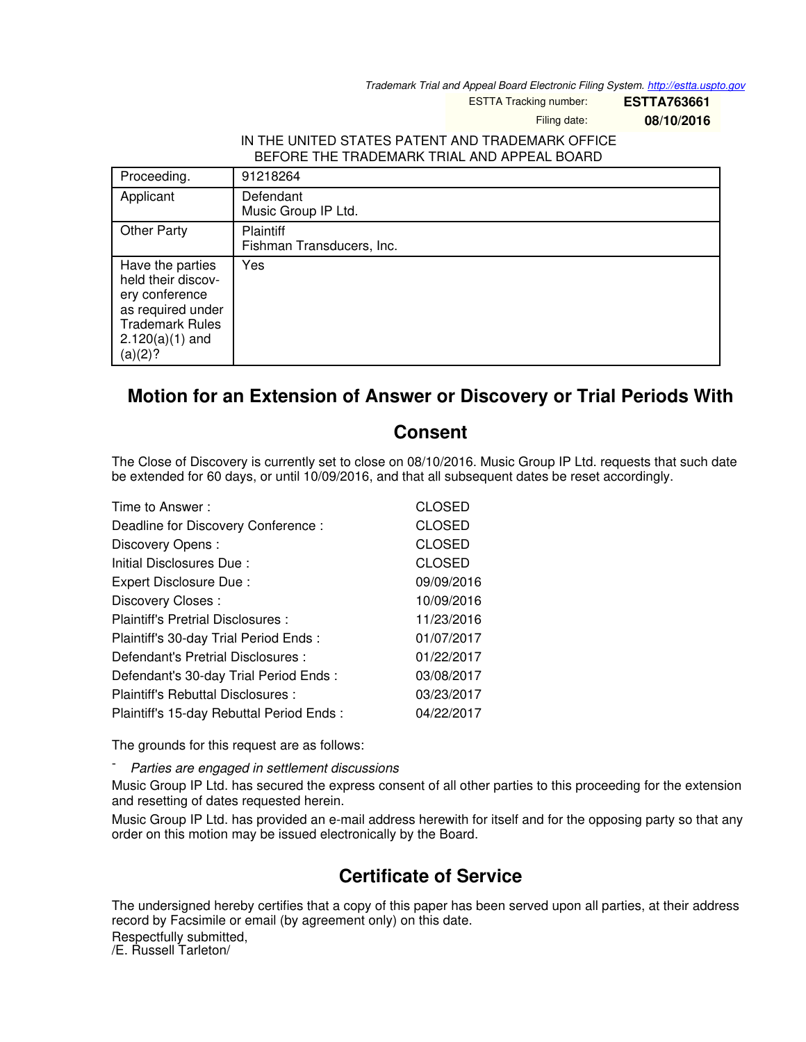*Trademark Trial and Appeal Board Electronic Filing System. <http://estta.uspto.gov>*

ESTTA Tracking number: **ESTTA763661**

Filing date: **08/10/2016**

## IN THE UNITED STATES PATENT AND TRADEMARK OFFICE BEFORE THE TRADEMARK TRIAL AND APPEAL BOARD

| Proceeding.                                                                                                                             | 91218264                                      |
|-----------------------------------------------------------------------------------------------------------------------------------------|-----------------------------------------------|
| Applicant                                                                                                                               | Defendant<br>Music Group IP Ltd.              |
| <b>Other Party</b>                                                                                                                      | <b>Plaintiff</b><br>Fishman Transducers, Inc. |
| Have the parties<br>held their discov-<br>ery conference<br>as required under<br><b>Trademark Rules</b><br>$2.120(a)(1)$ and<br>(a)(2)? | Yes                                           |

## **Motion for an Extension of Answer or Discovery or Trial Periods With**

## **Consent**

The Close of Discovery is currently set to close on 08/10/2016. Music Group IP Ltd. requests that such date be extended for 60 days, or until 10/09/2016, and that all subsequent dates be reset accordingly.

| Time to Answer:                          | CLOSED        |
|------------------------------------------|---------------|
| Deadline for Discovery Conference:       | <b>CLOSED</b> |
| Discovery Opens:                         | <b>CLOSED</b> |
| Initial Disclosures Due:                 | <b>CLOSED</b> |
| Expert Disclosure Due:                   | 09/09/2016    |
| Discovery Closes:                        | 10/09/2016    |
| Plaintiff's Pretrial Disclosures :       | 11/23/2016    |
| Plaintiff's 30-day Trial Period Ends:    | 01/07/2017    |
| Defendant's Pretrial Disclosures :       | 01/22/2017    |
| Defendant's 30-day Trial Period Ends:    | 03/08/2017    |
| Plaintiff's Rebuttal Disclosures :       | 03/23/2017    |
| Plaintiff's 15-day Rebuttal Period Ends: | 04/22/2017    |

The grounds for this request are as follows:

- *Parties are engaged in settlement discussions*

Music Group IP Ltd. has secured the express consent of all other parties to this proceeding for the extension and resetting of dates requested herein.

Music Group IP Ltd. has provided an e-mail address herewith for itself and for the opposing party so that any order on this motion may be issued electronically by the Board.

## **Certificate of Service**

The undersigned hereby certifies that a copy of this paper has been served upon all parties, at their address record by Facsimile or email (by agreement only) on this date.

Respectfully submitted, /E. Russell Tarleton/